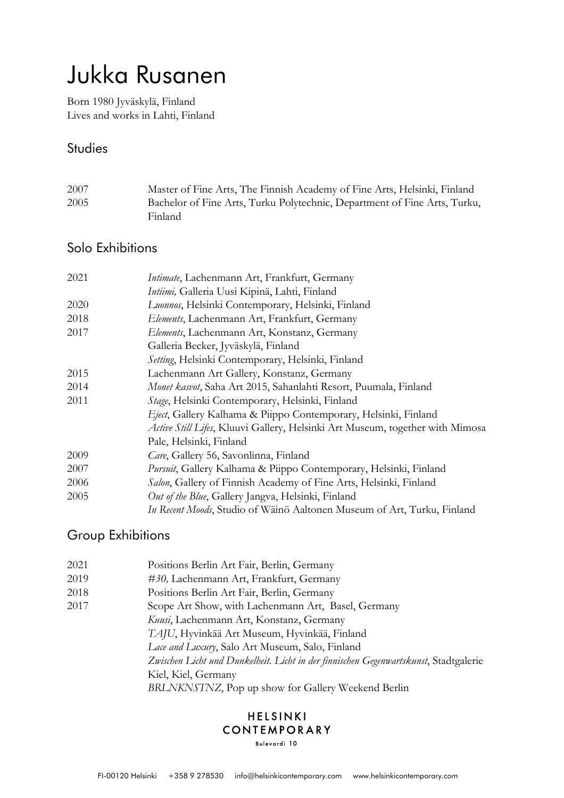# Jukka Rusanen

Born 1980 Jyväskylä, Finland Lives and works in Lahti, Finland

#### **Studies**

| 2007 | Master of Fine Arts, The Finnish Academy of Fine Arts, Helsinki, Finland  |
|------|---------------------------------------------------------------------------|
| 2005 | Bachelor of Fine Arts, Turku Polytechnic, Department of Fine Arts, Turku, |
|      | Finland.                                                                  |

## Solo Exhibitions

| 2021 | Intimate, Lachenmann Art, Frankfurt, Germany                                  |
|------|-------------------------------------------------------------------------------|
|      | Intiimi, Galleria Uusi Kipinä, Lahti, Finland                                 |
| 2020 | Luonnos, Helsinki Contemporary, Helsinki, Finland                             |
| 2018 | Elements, Lachenmann Art, Frankfurt, Germany                                  |
| 2017 | Elements, Lachenmann Art, Konstanz, Germany                                   |
|      | Galleria Becker, Jyväskylä, Finland                                           |
|      | Setting, Helsinki Contemporary, Helsinki, Finland                             |
| 2015 | Lachenmann Art Gallery, Konstanz, Germany                                     |
| 2014 | Monet kasvot, Saha Art 2015, Sahanlahti Resort, Puumala, Finland              |
| 2011 | Stage, Helsinki Contemporary, Helsinki, Finland                               |
|      | Eject, Gallery Kalhama & Piippo Contemporary, Helsinki, Finland               |
|      | Active Still Lifes, Kluuvi Gallery, Helsinki Art Museum, together with Mimosa |
|      | Pale, Helsinki, Finland                                                       |
| 2009 | Care, Gallery 56, Savonlinna, Finland                                         |
| 2007 | <i>Pursuit</i> , Gallery Kalhama & Piippo Contemporary, Helsinki, Finland     |
| 2006 | Salon, Gallery of Finnish Academy of Fine Arts, Helsinki, Finland             |
| 2005 | Out of the Blue, Gallery Jangva, Helsinki, Finland                            |
|      | In Recent Moods, Studio of Wäinö Aaltonen Museum of Art, Turku, Finland       |

# Group Exhibitions

| 2021 | Positions Berlin Art Fair, Berlin, Germany                                           |
|------|--------------------------------------------------------------------------------------|
| 2019 | #30, Lachenmann Art, Frankfurt, Germany                                              |
| 2018 | Positions Berlin Art Fair, Berlin, Germany                                           |
| 2017 | Scope Art Show, with Lachenmann Art, Basel, Germany                                  |
|      | Kuusi, Lachenmann Art, Konstanz, Germany                                             |
|      | TAJU, Hyvinkää Art Museum, Hyvinkää, Finland                                         |
|      | Lace and Luxury, Salo Art Museum, Salo, Finland                                      |
|      | Zwischen Licht und Dunkelheit. Licht in der finnischen Gegenwartskunst, Stadtgalerie |
|      | Kiel, Kiel, Germany                                                                  |
|      | BRLNKNSTNZ, Pop up show for Gallery Weekend Berlin                                   |
|      |                                                                                      |

# **HELSINKI** CONTEMPORARY

Bulevardi 10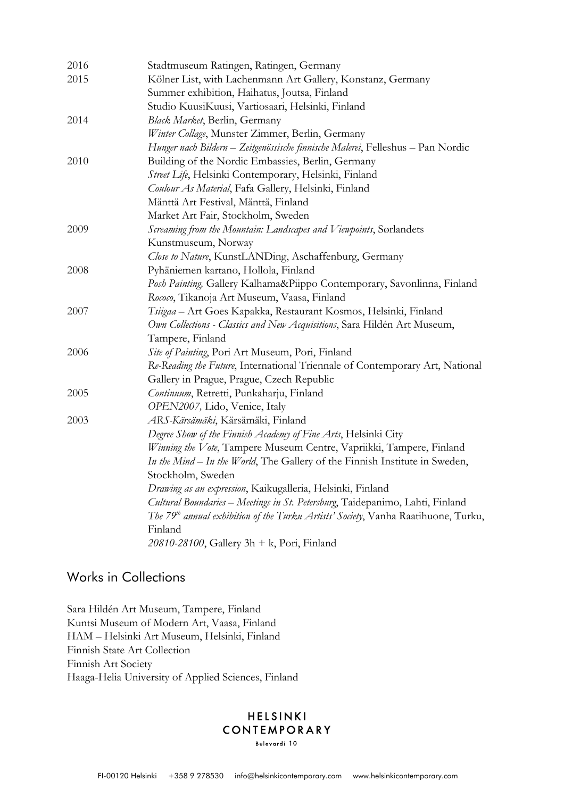| 2016 | Stadtmuseum Ratingen, Ratingen, Germany                                                        |
|------|------------------------------------------------------------------------------------------------|
| 2015 | Kölner List, with Lachenmann Art Gallery, Konstanz, Germany                                    |
|      | Summer exhibition, Haihatus, Joutsa, Finland                                                   |
|      | Studio KuusiKuusi, Vartiosaari, Helsinki, Finland                                              |
| 2014 | Black Market, Berlin, Germany                                                                  |
|      | Winter Collage, Munster Zimmer, Berlin, Germany                                                |
|      | Hunger nach Bildern - Zeitgenössische finnische Malerei, Felleshus - Pan Nordic                |
| 2010 | Building of the Nordic Embassies, Berlin, Germany                                              |
|      | Street Life, Helsinki Contemporary, Helsinki, Finland                                          |
|      | Coulour As Material, Fafa Gallery, Helsinki, Finland                                           |
|      | Mänttä Art Festival, Mänttä, Finland                                                           |
|      | Market Art Fair, Stockholm, Sweden                                                             |
| 2009 | Screaming from the Mountain: Landscapes and Viewpoints, Sorlandets                             |
|      | Kunstmuseum, Norway                                                                            |
|      | Close to Nature, KunstLANDing, Aschaffenburg, Germany                                          |
| 2008 | Pyhäniemen kartano, Hollola, Finland                                                           |
|      | Posh Painting, Gallery Kalhama&Piippo Contemporary, Savonlinna, Finland                        |
|      | Rococo, Tikanoja Art Museum, Vaasa, Finland                                                    |
| 2007 | Tsiigaa - Art Goes Kapakka, Restaurant Kosmos, Helsinki, Finland                               |
|      | Own Collections - Classics and New Acquisitions, Sara Hildén Art Museum,                       |
|      | Tampere, Finland                                                                               |
| 2006 | Site of Painting, Pori Art Museum, Pori, Finland                                               |
|      | Re-Reading the Future, International Triennale of Contemporary Art, National                   |
|      | Gallery in Prague, Prague, Czech Republic                                                      |
| 2005 | Continuum, Retretti, Punkaharju, Finland                                                       |
|      | OPEN2007, Lido, Venice, Italy                                                                  |
| 2003 | ARS-Kärsämäki, Kärsämäki, Finland                                                              |
|      | Degree Show of the Finnish Academy of Fine Arts, Helsinki City                                 |
|      | Winning the Vote, Tampere Museum Centre, Vapriikki, Tampere, Finland                           |
|      | In the Mind - In the World, The Gallery of the Finnish Institute in Sweden,                    |
|      | Stockholm, Sweden                                                                              |
|      | Drawing as an expression, Kaikugalleria, Helsinki, Finland                                     |
|      | Cultural Boundaries - Meetings in St. Petersburg, Taidepanimo, Lahti, Finland                  |
|      | The 79 <sup>th</sup> annual exhibition of the Turku Artists' Society, Vanha Raatihuone, Turku, |
|      | Finland                                                                                        |
|      | 20810-28100, Gallery 3h + k, Pori, Finland                                                     |

#### Works in Collections

Sara Hildén Art Museum, Tampere, Finland Kuntsi Museum of Modern Art, Vaasa, Finland HAM – Helsinki Art Museum, Helsinki, Finland Finnish State Art Collection Finnish Art Society Haaga-Helia University of Applied Sciences, Finland

#### **HELSINKI** CONTEMPORARY Bulevardi 10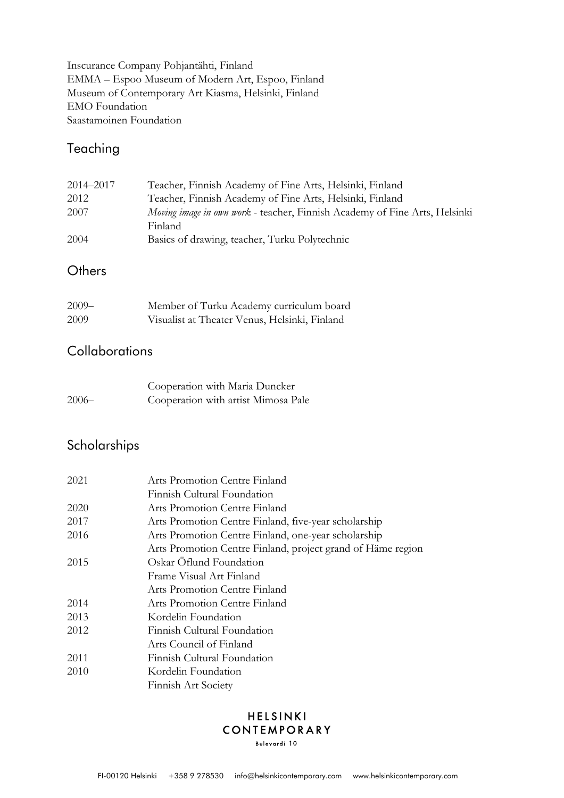Inscurance Company Pohjantähti, Finland EMMA – Espoo Museum of Modern Art, Espoo, Finland Museum of Contemporary Art Kiasma, Helsinki, Finland EMO Foundation Saastamoinen Foundation

## Teaching

| 2014–2017 | Teacher, Finnish Academy of Fine Arts, Helsinki, Finland                          |
|-----------|-----------------------------------------------------------------------------------|
| 2012      | Teacher, Finnish Academy of Fine Arts, Helsinki, Finland                          |
| 2007      | <i>Moving image in own work</i> - teacher, Finnish Academy of Fine Arts, Helsinki |
|           | Finland                                                                           |
| 2004      | Basics of drawing, teacher, Turku Polytechnic                                     |

### **Others**

| $2009 -$ | Member of Turku Academy curriculum board      |
|----------|-----------------------------------------------|
| 2009     | Visualist at Theater Venus, Helsinki, Finland |

#### **Collaborations**

|         | Cooperation with Maria Duncker      |
|---------|-------------------------------------|
| $2006-$ | Cooperation with artist Mimosa Pale |

# Scholarships

| 2021 | Arts Promotion Centre Finland                               |
|------|-------------------------------------------------------------|
|      | Finnish Cultural Foundation                                 |
| 2020 | Arts Promotion Centre Finland                               |
| 2017 | Arts Promotion Centre Finland, five-year scholarship        |
| 2016 | Arts Promotion Centre Finland, one-year scholarship         |
|      | Arts Promotion Centre Finland, project grand of Häme region |
| 2015 | Oskar Öflund Foundation                                     |
|      | Frame Visual Art Finland                                    |
|      | Arts Promotion Centre Finland                               |
| 2014 | Arts Promotion Centre Finland                               |
| 2013 | Kordelin Foundation                                         |
| 2012 | Finnish Cultural Foundation                                 |
|      | Arts Council of Finland                                     |
| 2011 | Finnish Cultural Foundation                                 |
| 2010 | Kordelin Foundation                                         |
|      | Finnish Art Society                                         |

#### HELSINKI CONTEMPORARY Bulevardi 10

FI-00120 Helsinki +358 9 278530 info@helsinkicontemporary.com www.helsinkicontemporary.com